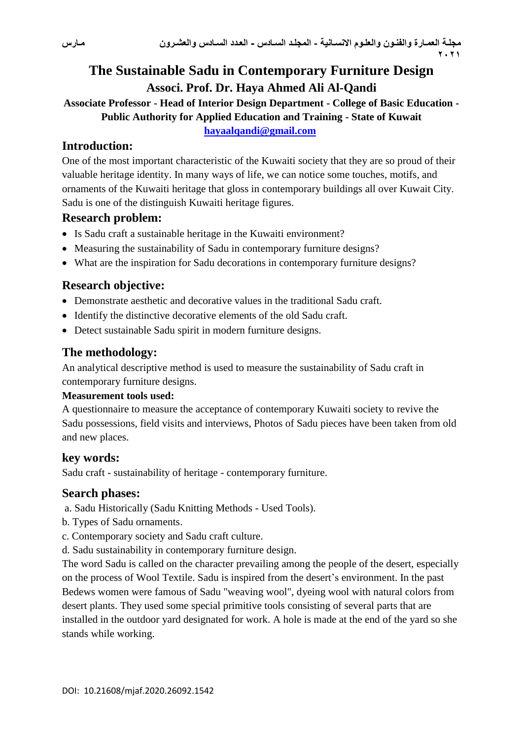# **The Sustainable Sadu in Contemporary Furniture Design Associ. Prof. Dr. Haya Ahmed Ali Al-Qandi**

**Associate Professor - Head of Interior Design Department - College of Basic Education - Public Authority for Applied Education and Training - State of Kuwait**

**[hayaalqandi@gmail.com](mailto:hayaalqandi@gmail.com)**

# **Introduction:**

One of the most important characteristic of the Kuwaiti society that they are so proud of their valuable heritage identity. In many ways of life, we can notice some touches, motifs, and ornaments of the Kuwaiti heritage that gloss in contemporary buildings all over Kuwait City. Sadu is one of the distinguish Kuwaiti heritage figures.

## **Research problem:**

- Is Sadu craft a sustainable heritage in the Kuwaiti environment?
- Measuring the sustainability of Sadu in contemporary furniture designs?
- What are the inspiration for Sadu decorations in contemporary furniture designs?

# **Research objective:**

- Demonstrate aesthetic and decorative values in the traditional Sadu craft.
- Identify the distinctive decorative elements of the old Sadu craft.
- Detect sustainable Sadu spirit in modern furniture designs.

## **The methodology:**

An analytical descriptive method is used to measure the sustainability of Sadu craft in contemporary furniture designs.

### **Measurement tools used:**

A questionnaire to measure the acceptance of contemporary Kuwaiti society to revive the Sadu possessions, field visits and interviews, Photos of Sadu pieces have been taken from old and new places.

## **key words:**

Sadu craft - sustainability of heritage - contemporary furniture.

### **Search phases:**

a. Sadu Historically (Sadu Knitting Methods - Used Tools).

- b. Types of Sadu ornaments.
- c. Contemporary society and Sadu craft culture.
- d. Sadu sustainability in contemporary furniture design.

The word Sadu is called on the character prevailing among the people of the desert, especially on the process of Wool Textile. Sadu is inspired from the desert's environment. In the past Bedews women were famous of Sadu "weaving wool", dyeing wool with natural colors from desert plants. They used some special primitive tools consisting of several parts that are installed in the outdoor yard designated for work. A hole is made at the end of the yard so she stands while working.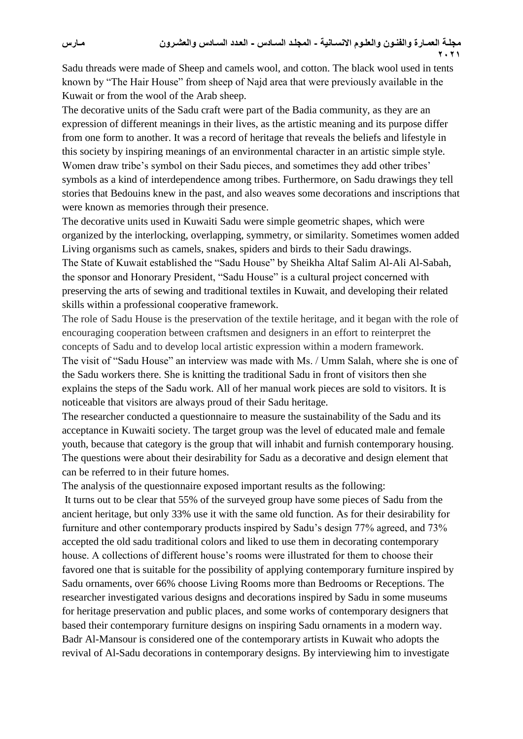Sadu threads were made of Sheep and camels wool, and cotton. The black wool used in tents known by "The Hair House" from sheep of Najd area that were previously available in the Kuwait or from the wool of the Arab sheep.

The decorative units of the Sadu craft were part of the Badia community, as they are an expression of different meanings in their lives, as the artistic meaning and its purpose differ from one form to another. It was a record of heritage that reveals the beliefs and lifestyle in this society by inspiring meanings of an environmental character in an artistic simple style. Women draw tribe's symbol on their Sadu pieces, and sometimes they add other tribes' symbols as a kind of interdependence among tribes. Furthermore, on Sadu drawings they tell stories that Bedouins knew in the past, and also weaves some decorations and inscriptions that were known as memories through their presence.

The decorative units used in Kuwaiti Sadu were simple geometric shapes, which were organized by the interlocking, overlapping, symmetry, or similarity. Sometimes women added Living organisms such as camels, snakes, spiders and birds to their Sadu drawings. The State of Kuwait established the "Sadu House" by Sheikha Altaf Salim Al-Ali Al-Sabah, the sponsor and Honorary President, "Sadu House" is a cultural project concerned with preserving the arts of sewing and traditional textiles in Kuwait, and developing their related skills within a professional cooperative framework.

The role of Sadu House is the preservation of the textile heritage, and it began with the role of encouraging cooperation between craftsmen and designers in an effort to reinterpret the concepts of Sadu and to develop local artistic expression within a modern framework. The visit of "Sadu House" an interview was made with Ms. / Umm Salah, where she is one of the Sadu workers there. She is knitting the traditional Sadu in front of visitors then she explains the steps of the Sadu work. All of her manual work pieces are sold to visitors. It is noticeable that visitors are always proud of their Sadu heritage.

The researcher conducted a questionnaire to measure the sustainability of the Sadu and its acceptance in Kuwaiti society. The target group was the level of educated male and female youth, because that category is the group that will inhabit and furnish contemporary housing. The questions were about their desirability for Sadu as a decorative and design element that can be referred to in their future homes.

The analysis of the questionnaire exposed important results as the following:

It turns out to be clear that 55% of the surveyed group have some pieces of Sadu from the ancient heritage, but only 33% use it with the same old function. As for their desirability for furniture and other contemporary products inspired by Sadu's design 77% agreed, and 73% accepted the old sadu traditional colors and liked to use them in decorating contemporary house. A collections of different house's rooms were illustrated for them to choose their favored one that is suitable for the possibility of applying contemporary furniture inspired by Sadu ornaments, over 66% choose Living Rooms more than Bedrooms or Receptions. The researcher investigated various designs and decorations inspired by Sadu in some museums for heritage preservation and public places, and some works of contemporary designers that based their contemporary furniture designs on inspiring Sadu ornaments in a modern way. Badr Al-Mansour is considered one of the contemporary artists in Kuwait who adopts the revival of Al-Sadu decorations in contemporary designs. By interviewing him to investigate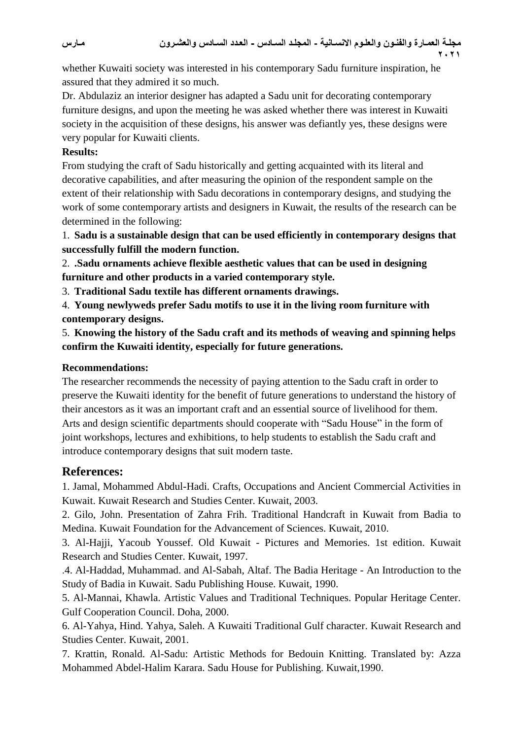مجلـة العمـارة والفنـون والعلـوم الانسـانيـة - المجلـد السـادس - العدد السـادس والعشـرون **2021**

whether Kuwaiti society was interested in his contemporary Sadu furniture inspiration, he assured that they admired it so much.

Dr. Abdulaziz an interior designer has adapted a Sadu unit for decorating contemporary furniture designs, and upon the meeting he was asked whether there was interest in Kuwaiti society in the acquisition of these designs, his answer was defiantly yes, these designs were very popular for Kuwaiti clients.

#### **Results:**

From studying the craft of Sadu historically and getting acquainted with its literal and decorative capabilities, and after measuring the opinion of the respondent sample on the extent of their relationship with Sadu decorations in contemporary designs, and studying the work of some contemporary artists and designers in Kuwait, the results of the research can be determined in the following:

1. **Sadu is a sustainable design that can be used efficiently in contemporary designs that successfully fulfill the modern function.**

2. **.Sadu ornaments achieve flexible aesthetic values that can be used in designing furniture and other products in a varied contemporary style.**

3. **Traditional Sadu textile has different ornaments drawings.**

4. **Young newlyweds prefer Sadu motifs to use it in the living room furniture with contemporary designs.**

5. **Knowing the history of the Sadu craft and its methods of weaving and spinning helps confirm the Kuwaiti identity, especially for future generations.**

#### **Recommendations:**

The researcher recommends the necessity of paying attention to the Sadu craft in order to preserve the Kuwaiti identity for the benefit of future generations to understand the history of their ancestors as it was an important craft and an essential source of livelihood for them. Arts and design scientific departments should cooperate with "Sadu House" in the form of joint workshops, lectures and exhibitions, to help students to establish the Sadu craft and introduce contemporary designs that suit modern taste.

### **References:**

1. Jamal, Mohammed Abdul-Hadi. Crafts, Occupations and Ancient Commercial Activities in Kuwait. Kuwait Research and Studies Center. Kuwait, 2003.

2. Gilo, John. Presentation of Zahra Frih. Traditional Handcraft in Kuwait from Badia to Medina. Kuwait Foundation for the Advancement of Sciences. Kuwait, 2010.

3. Al-Hajji, Yacoub Youssef. Old Kuwait - Pictures and Memories. 1st edition. Kuwait Research and Studies Center. Kuwait, 1997.

.4. Al-Haddad, Muhammad. and Al-Sabah, Altaf. The Badia Heritage - An Introduction to the Study of Badia in Kuwait. Sadu Publishing House. Kuwait, 1990.

5. Al-Mannai, Khawla. Artistic Values and Traditional Techniques. Popular Heritage Center. Gulf Cooperation Council. Doha, 2000.

6. Al-Yahya, Hind. Yahya, Saleh. A Kuwaiti Traditional Gulf character. Kuwait Research and Studies Center. Kuwait, 2001.

7. Krattin, Ronald. Al-Sadu: Artistic Methods for Bedouin Knitting. Translated by: Azza Mohammed Abdel-Halim Karara. Sadu House for Publishing. Kuwait,1990.